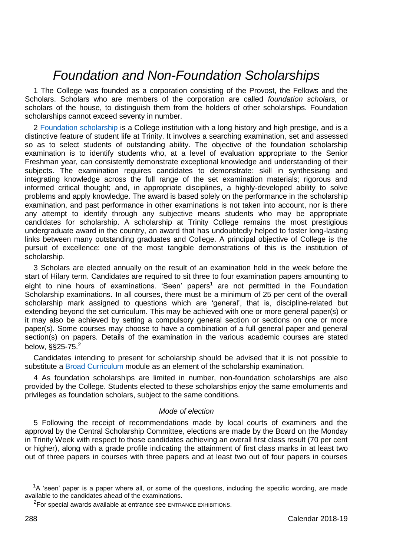# *Foundation and Non-Foundation Scholarships*

1 The College was founded as a corporation consisting of the Provost, the Fellows and the Scholars. Scholars who are members of the corporation are called *foundation scholars,* or scholars of the house, to distinguish them from the holders of other scholarships. Foundation scholarships cannot exceed seventy in number.

2 [Foundation scholarship](https://www.tcd.ie/academicregistry/exams/scholarship/) is a College institution with a long history and high prestige, and is a distinctive feature of student life at Trinity. It involves a searching examination, set and assessed so as to select students of outstanding ability. The objective of the foundation scholarship examination is to identify students who, at a level of evaluation appropriate to the Senior Freshman year, can consistently demonstrate exceptional knowledge and understanding of their subjects. The examination requires candidates to demonstrate: skill in synthesising and integrating knowledge across the full range of the set examination materials; rigorous and informed critical thought; and, in appropriate disciplines, a highly-developed ability to solve problems and apply knowledge. The award is based solely on the performance in the scholarship examination, and past performance in other examinations is not taken into account, nor is there any attempt to identify through any subjective means students who may be appropriate candidates for scholarship. A scholarship at Trinity College remains the most prestigious undergraduate award in the country, an award that has undoubtedly helped to foster long-lasting links between many outstanding graduates and College. A principal objective of College is the pursuit of excellence: one of the most tangible demonstrations of this is the institution of scholarship.

3 Scholars are elected annually on the result of an examination held in the week before the start of Hilary term. Candidates are required to sit three to four examination papers amounting to eight to nine hours of examinations. 'Seen' papers<sup>1</sup> are not permitted in the Foundation Scholarship examinations. In all courses, there must be a minimum of 25 per cent of the overall scholarship mark assigned to questions which are 'general', that is, discipline-related but extending beyond the set curriculum. This may be achieved with one or more general paper(s) or it may also be achieved by setting a compulsory general section or sections on one or more paper(s). Some courses may choose to have a combination of a full general paper and general section(s) on papers. Details of the examination in the various academic courses are stated below, §§25-75. 2

Candidates intending to present for scholarship should be advised that it is not possible to substitute a [Broad Curriculum](https://www.tcd.ie/Broad_Curriculum/) module as an element of the scholarship examination.

4 As foundation scholarships are limited in number, non-foundation scholarships are also provided by the College. Students elected to these scholarships enjoy the same emoluments and privileges as foundation scholars, subject to the same conditions.

# *Mode of election*

5 Following the receipt of recommendations made by local courts of examiners and the approval by the Central Scholarship Committee, elections are made by the Board on the Monday in Trinity Week with respect to those candidates achieving an overall first class result (70 per cent or higher), along with a grade profile indicating the attainment of first class marks in at least two out of three papers in courses with three papers and at least two out of four papers in courses

<u>.</u>

 $1_A$  'seen' paper is a paper where all, or some of the questions, including the specific wording, are made available to the candidates ahead of the examinations.

 $2$ For special awards available at entrance see ENTRANCE EXHIBITIONS.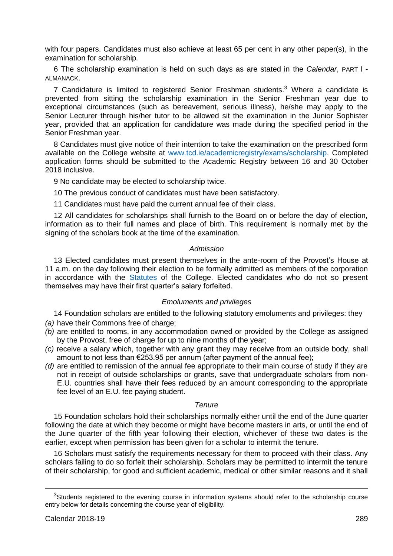with four papers. Candidates must also achieve at least 65 per cent in any other paper(s), in the examination for scholarship.

6 The scholarship examination is held on such days as are stated in the *Calendar*, PART I - ALMANACK.

7 Candidature is limited to registered Senior Freshman students.<sup>3</sup> Where a candidate is prevented from sitting the scholarship examination in the Senior Freshman year due to exceptional circumstances (such as bereavement, serious illness), he/she may apply to the Senior Lecturer through his/her tutor to be allowed sit the examination in the Junior Sophister year, provided that an application for candidature was made during the specified period in the Senior Freshman year.

8 Candidates must give notice of their intention to take the examination on the prescribed form available on the College website at [www.tcd.ie/academicregistry/exams/scholarship.](https://www.tcd.ie/academicregistry/exams/scholarship/) Completed application forms should be submitted to the Academic Registry between 16 and 30 October 2018 inclusive.

9 No candidate may be elected to scholarship twice.

10 The previous conduct of candidates must have been satisfactory.

11 Candidates must have paid the current annual fee of their class.

12 All candidates for scholarships shall furnish to the Board on or before the day of election, information as to their full names and place of birth. This requirement is normally met by the signing of the scholars book at the time of the examination.

## *Admission*

13 Elected candidates must present themselves in the ante-room of the Provost's House at 11 a.m. on the day following their election to be formally admitted as members of the corporation in accordance with the [Statutes](https://www.tcd.ie/registrar/statutes/) of the College. Elected candidates who do not so present themselves may have their first quarter's salary forfeited.

# *Emoluments and privileges*

14 Foundation scholars are entitled to the following statutory emoluments and privileges: they *(a)* have their Commons free of charge:

- *(b)* are entitled to rooms, in any accommodation owned or provided by the College as assigned by the Provost, free of charge for up to nine months of the year;
- *(c)* receive a salary which, together with any grant they may receive from an outside body, shall amount to not less than  $\epsilon$ 253.95 per annum (after payment of the annual fee):
- *(d)* are entitled to remission of the annual fee appropriate to their main course of study if they are not in receipt of outside scholarships or grants, save that undergraduate scholars from non-E.U. countries shall have their fees reduced by an amount corresponding to the appropriate fee level of an E.U. fee paying student.

## *Tenure*

15 Foundation scholars hold their scholarships normally either until the end of the June quarter following the date at which they become or might have become masters in arts, or until the end of the June quarter of the fifth year following their election, whichever of these two dates is the earlier, except when permission has been given for a scholar to intermit the tenure.

16 Scholars must satisfy the requirements necessary for them to proceed with their class. Any scholars failing to do so forfeit their scholarship. Scholars may be permitted to intermit the tenure of their scholarship, for good and sufficient academic, medical or other similar reasons and it shall

-

<sup>&</sup>lt;sup>3</sup>Students registered to the evening course in information systems should refer to the scholarship course entry below for details concerning the course year of eligibility.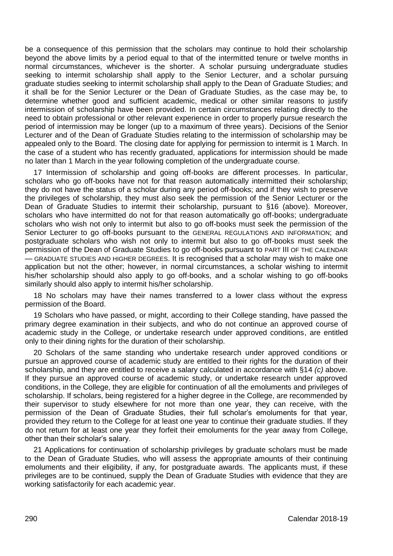be a consequence of this permission that the scholars may continue to hold their scholarship beyond the above limits by a period equal to that of the intermitted tenure or twelve months in normal circumstances, whichever is the shorter. A scholar pursuing undergraduate studies seeking to intermit scholarship shall apply to the Senior Lecturer, and a scholar pursuing graduate studies seeking to intermit scholarship shall apply to the Dean of Graduate Studies; and it shall be for the Senior Lecturer or the Dean of Graduate Studies, as the case may be, to determine whether good and sufficient academic, medical or other similar reasons to justify intermission of scholarship have been provided. In certain circumstances relating directly to the need to obtain professional or other relevant experience in order to properly pursue research the period of intermission may be longer (up to a maximum of three years). Decisions of the Senior Lecturer and of the Dean of Graduate Studies relating to the intermission of scholarship may be appealed only to the Board. The closing date for applying for permission to intermit is 1 March. In the case of a student who has recently graduated, applications for intermission should be made no later than 1 March in the year following completion of the undergraduate course.

17 Intermission of scholarship and going off-books are different processes. In particular, scholars who go off-books have not for that reason automatically intermitted their scholarship; they do not have the status of a scholar during any period off-books; and if they wish to preserve the privileges of scholarship, they must also seek the permission of the Senior Lecturer or the Dean of Graduate Studies to intermit their scholarship, pursuant to §16 (above). Moreover, scholars who have intermitted do not for that reason automatically go off-books; undergraduate scholars who wish not only to intermit but also to go off-books must seek the permission of the Senior Lecturer to go off-books pursuant to the GENERAL REGULATIONS AND INFORMATION; and postgraduate scholars who wish not only to intermit but also to go off-books must seek the permission of the Dean of Graduate Studies to go off-books pursuant to PART III OF THE CALENDAR — GRADUATE STUDIES AND HIGHER DEGREES. It is recognised that a scholar may wish to make one application but not the other; however, in normal circumstances, a scholar wishing to intermit his/her scholarship should also apply to go off-books, and a scholar wishing to go off-books similarly should also apply to intermit his/her scholarship.

18 No scholars may have their names transferred to a lower class without the express permission of the Board.

19 Scholars who have passed, or might, according to their College standing, have passed the primary degree examination in their subjects, and who do not continue an approved course of academic study in the College, or undertake research under approved conditions, are entitled only to their dining rights for the duration of their scholarship.

20 Scholars of the same standing who undertake research under approved conditions or pursue an approved course of academic study are entitled to their rights for the duration of their scholarship, and they are entitled to receive a salary calculated in accordance with §14 *(c)* above. If they pursue an approved course of academic study, or undertake research under approved conditions, in the College, they are eligible for continuation of all the emoluments and privileges of scholarship. If scholars, being registered for a higher degree in the College, are recommended by their supervisor to study elsewhere for not more than one year, they can receive, with the permission of the Dean of Graduate Studies, their full scholar's emoluments for that year, provided they return to the College for at least one year to continue their graduate studies. If they do not return for at least one year they forfeit their emoluments for the year away from College, other than their scholar's salary.

21 Applications for continuation of scholarship privileges by graduate scholars must be made to the Dean of Graduate Studies, who will assess the appropriate amounts of their continuing emoluments and their eligibility, if any, for postgraduate awards. The applicants must, if these privileges are to be continued, supply the Dean of Graduate Studies with evidence that they are working satisfactorily for each academic year.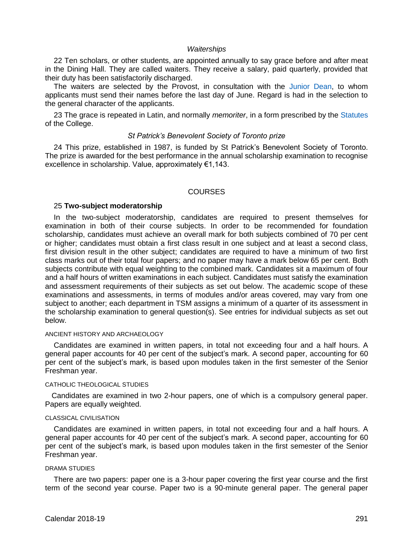## *Waiterships*

22 Ten scholars, or other students, are appointed annually to say grace before and after meat in the Dining Hall. They are called waiters. They receive a salary, paid quarterly, provided that their duty has been satisfactorily discharged.

The waiters are selected by the Provost, in consultation with the [Junior Dean,](https://www.tcd.ie/Junior_Dean/) to whom applicants must send their names before the last day of June. Regard is had in the selection to the general character of the applicants.

23 The grace is repeated in Latin, and normally *memoriter*, in a form prescribed by th[e Statutes](https://www.tcd.ie/registrar/statutes/) of the College.

## *St Patrick's Benevolent Society of Toronto prize*

24 This prize, established in 1987, is funded by St Patrick's Benevolent Society of Toronto. The prize is awarded for the best performance in the annual scholarship examination to recognise excellence in scholarship. Value, approximately €1,143.

## **COURSES**

## 25 **Two-subject moderatorship**

In the two-subject moderatorship, candidates are required to present themselves for examination in both of their course subjects. In order to be recommended for foundation scholarship, candidates must achieve an overall mark for both subjects combined of 70 per cent or higher; candidates must obtain a first class result in one subject and at least a second class, first division result in the other subject; candidates are required to have a minimum of two first class marks out of their total four papers; and no paper may have a mark below 65 per cent. Both subjects contribute with equal weighting to the combined mark. Candidates sit a maximum of four and a half hours of written examinations in each subject. Candidates must satisfy the examination and assessment requirements of their subjects as set out below. The academic scope of these examinations and assessments, in terms of modules and/or areas covered, may vary from one subject to another; each department in TSM assigns a minimum of a quarter of its assessment in the scholarship examination to general question(s). See entries for individual subjects as set out below.

#### ANCIENT HISTORY AND ARCHAEOLOGY

Candidates are examined in written papers, in total not exceeding four and a half hours. A general paper accounts for 40 per cent of the subject's mark. A second paper, accounting for 60 per cent of the subject's mark, is based upon modules taken in the first semester of the Senior Freshman year.

## CATHOLIC THEOLOGICAL STUDIES

Candidates are examined in two 2-hour papers, one of which is a compulsory general paper. Papers are equally weighted.

#### CLASSICAL CIVILISATION

Candidates are examined in written papers, in total not exceeding four and a half hours. A general paper accounts for 40 per cent of the subject's mark. A second paper, accounting for 60 per cent of the subject's mark, is based upon modules taken in the first semester of the Senior Freshman year.

#### DRAMA STUDIES

There are two papers: paper one is a 3-hour paper covering the first year course and the first term of the second year course. Paper two is a 90-minute general paper. The general paper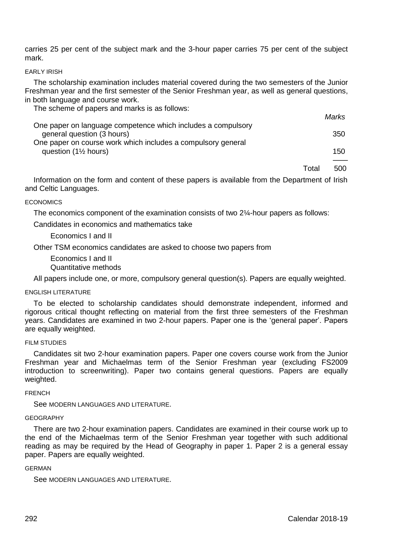carries 25 per cent of the subject mark and the 3-hour paper carries 75 per cent of the subject mark.

## EARLY IRISH

The scholarship examination includes material covered during the two semesters of the Junior Freshman year and the first semester of the Senior Freshman year, as well as general questions, in both language and course work.

The scheme of papers and marks is as follows:

|                                                                                            | <i>Iviali</i> ns |
|--------------------------------------------------------------------------------------------|------------------|
| One paper on language competence which includes a compulsory<br>general question (3 hours) | 350              |
| One paper on course work which includes a compulsory general                               |                  |
| question $(1\frac{1}{2})$ hours)                                                           | 150              |
|                                                                                            |                  |

Total 500

*Marks*

Information on the form and content of these papers is available from the Department of Irish and Celtic Languages.

## **ECONOMICS**

The economics component of the examination consists of two 2¼-hour papers as follows:

Candidates in economics and mathematics take

Economics I and II

Other TSM economics candidates are asked to choose two papers from

Economics I and II Quantitative methods

All papers include one, or more, compulsory general question(s). Papers are equally weighted.

## ENGLISH LITERATURE

To be elected to scholarship candidates should demonstrate independent, informed and rigorous critical thought reflecting on material from the first three semesters of the Freshman years. Candidates are examined in two 2-hour papers. Paper one is the 'general paper'. Papers are equally weighted.

## FILM STUDIES

Candidates sit two 2-hour examination papers. Paper one covers course work from the Junior Freshman year and Michaelmas term of the Senior Freshman year (excluding FS2009 introduction to screenwriting). Paper two contains general questions. Papers are equally weighted.

#### FRENCH

See MODERN LANGUAGES AND LITERATURE

## **GEOGRAPHY**

There are two 2-hour examination papers. Candidates are examined in their course work up to the end of the Michaelmas term of the Senior Freshman year together with such additional reading as may be required by the Head of Geography in paper 1. Paper 2 is a general essay paper. Papers are equally weighted.

## GERMAN

See MODERN LANGUAGES AND LITERATURE.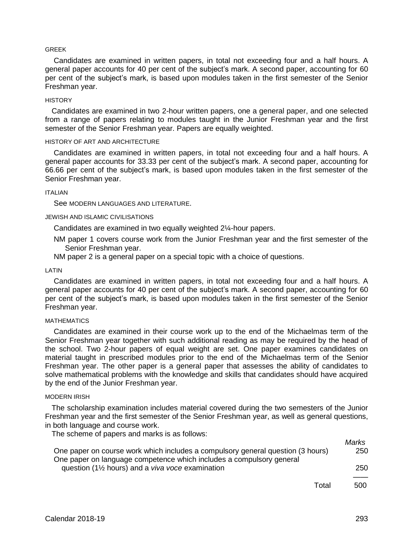#### GREEK

Candidates are examined in written papers, in total not exceeding four and a half hours. A general paper accounts for 40 per cent of the subject's mark. A second paper, accounting for 60 per cent of the subject's mark, is based upon modules taken in the first semester of the Senior Freshman year.

#### **HISTORY**

Candidates are examined in two 2-hour written papers, one a general paper, and one selected from a range of papers relating to modules taught in the Junior Freshman year and the first semester of the Senior Freshman year. Papers are equally weighted.

## HISTORY OF ART AND ARCHITECTURE

Candidates are examined in written papers, in total not exceeding four and a half hours. A general paper accounts for 33.33 per cent of the subject's mark. A second paper, accounting for 66.66 per cent of the subject's mark, is based upon modules taken in the first semester of the Senior Freshman year.

#### ITALIAN

See MODERN LANGUAGES AND LITERATURE.

#### JEWISH AND ISLAMIC CIVILISATIONS

Candidates are examined in two equally weighted 2¼-hour papers.

- NM paper 1 covers course work from the Junior Freshman year and the first semester of the Senior Freshman year.
- NM paper 2 is a general paper on a special topic with a choice of questions.

#### LATIN

Candidates are examined in written papers, in total not exceeding four and a half hours. A general paper accounts for 40 per cent of the subject's mark. A second paper, accounting for 60 per cent of the subject's mark, is based upon modules taken in the first semester of the Senior Freshman year.

#### **MATHEMATICS**

Candidates are examined in their course work up to the end of the Michaelmas term of the Senior Freshman year together with such additional reading as may be required by the head of the school. Two 2-hour papers of equal weight are set. One paper examines candidates on material taught in prescribed modules prior to the end of the Michaelmas term of the Senior Freshman year. The other paper is a general paper that assesses the ability of candidates to solve mathematical problems with the knowledge and skills that candidates should have acquired by the end of the Junior Freshman year.

#### MODERN IRISH

The scholarship examination includes material covered during the two semesters of the Junior Freshman year and the first semester of the Senior Freshman year, as well as general questions, in both language and course work.

The scheme of papers and marks is as follows:

|                                                                                 | Marks |
|---------------------------------------------------------------------------------|-------|
| One paper on course work which includes a compulsory general question (3 hours) | 250   |
| One paper on language competence which includes a compulsory general            |       |
| question (1 $\frac{1}{2}$ hours) and a <i>viva voce</i> examination             | 250   |
|                                                                                 |       |
| Total                                                                           | 500.  |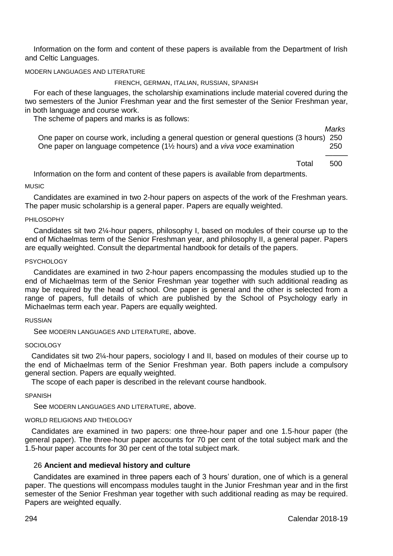Information on the form and content of these papers is available from the Department of Irish and Celtic Languages.

MODERN LANGUAGES AND LITERATURE

## FRENCH, GERMAN, ITALIAN, RUSSIAN, SPANISH

For each of these languages, the scholarship examinations include material covered during the two semesters of the Junior Freshman year and the first semester of the Senior Freshman year, in both language and course work.

The scheme of papers and marks is as follows:

*Marks* One paper on course work, including a general question or general questions (3 hours) 250 One paper on language competence (1½ hours) and a *viva voce* examination 250

——— Total 500

Information on the form and content of these papers is available from departments.

MUSIC

Candidates are examined in two 2-hour papers on aspects of the work of the Freshman years. The paper music scholarship is a general paper. Papers are equally weighted.

## PHILOSOPHY

Candidates sit two 2¼-hour papers, philosophy I, based on modules of their course up to the end of Michaelmas term of the Senior Freshman year, and philosophy II, a general paper. Papers are equally weighted. Consult the departmental handbook for details of the papers.

#### **PSYCHOLOGY**

Candidates are examined in two 2-hour papers encompassing the modules studied up to the end of Michaelmas term of the Senior Freshman year together with such additional reading as may be required by the head of school. One paper is general and the other is selected from a range of papers, full details of which are published by the School of Psychology early in Michaelmas term each year. Papers are equally weighted.

## RUSSIAN

See MODERN LANGUAGES AND LITERATURE, above.

#### **SOCIOLOGY**

Candidates sit two 2¼-hour papers, sociology I and II, based on modules of their course up to the end of Michaelmas term of the Senior Freshman year. Both papers include a compulsory general section. Papers are equally weighted.

The scope of each paper is described in the relevant course handbook.

SPANISH

See MODERN LANGUAGES AND LITERATURE, above.

# WORLD RELIGIONS AND THEOLOGY

Candidates are examined in two papers: one three-hour paper and one 1.5-hour paper (the general paper). The three-hour paper accounts for 70 per cent of the total subject mark and the 1.5-hour paper accounts for 30 per cent of the total subject mark.

## 26 **Ancient and medieval history and culture**

Candidates are examined in three papers each of 3 hours' duration, one of which is a general paper. The questions will encompass modules taught in the Junior Freshman year and in the first semester of the Senior Freshman year together with such additional reading as may be required. Papers are weighted equally.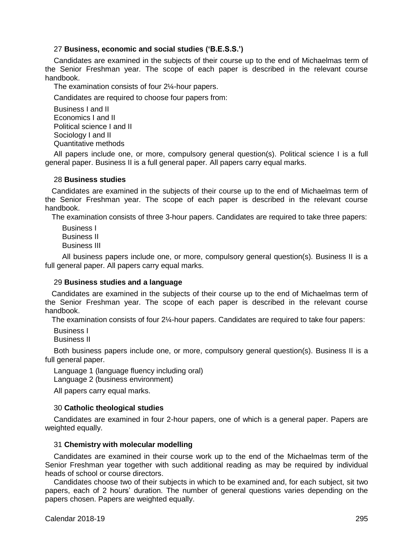# 27 **Business, economic and social studies ('B.E.S.S.')**

Candidates are examined in the subjects of their course up to the end of Michaelmas term of the Senior Freshman year. The scope of each paper is described in the relevant course handbook.

The examination consists of four 2¼-hour papers.

Candidates are required to choose four papers from:

Business I and II Economics I and II Political science I and II Sociology I and II Quantitative methods

All papers include one, or more, compulsory general question(s). Political science I is a full general paper. Business II is a full general paper. All papers carry equal marks.

## 28 **Business studies**

Candidates are examined in the subjects of their course up to the end of Michaelmas term of the Senior Freshman year. The scope of each paper is described in the relevant course handbook.

The examination consists of three 3-hour papers. Candidates are required to take three papers:

 Business I Business II Business III

 All business papers include one, or more, compulsory general question(s). Business II is a full general paper. All papers carry equal marks.

# 29 **Business studies and a language**

Candidates are examined in the subjects of their course up to the end of Michaelmas term of the Senior Freshman year. The scope of each paper is described in the relevant course handbook.

The examination consists of four 2¼-hour papers. Candidates are required to take four papers:

Business I

Business II

Both business papers include one, or more, compulsory general question(s). Business II is a full general paper.

Language 1 (language fluency including oral)

Language 2 (business environment)

All papers carry equal marks.

# 30 **Catholic theological studies**

Candidates are examined in four 2-hour papers, one of which is a general paper. Papers are weighted equally.

## 31 **Chemistry with molecular modelling**

Candidates are examined in their course work up to the end of the Michaelmas term of the Senior Freshman year together with such additional reading as may be required by individual heads of school or course directors.

Candidates choose two of their subjects in which to be examined and, for each subject, sit two papers, each of 2 hours' duration. The number of general questions varies depending on the papers chosen. Papers are weighted equally.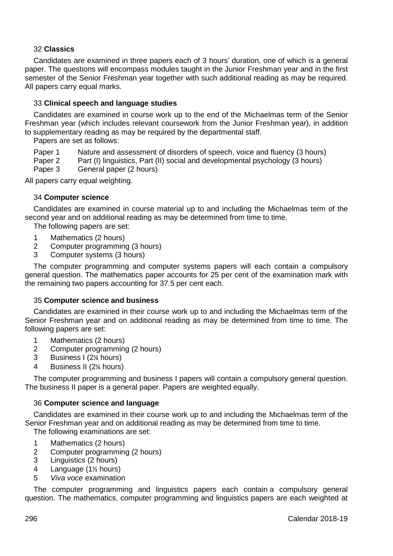# 32 **Classics**

Candidates are examined in three papers each of 3 hours' duration, one of which is a general paper. The questions will encompass modules taught in the Junior Freshman year and in the first semester of the Senior Freshman year together with such additional reading as may be required. All papers carry equal marks.

# 33 **Clinical speech and language studies**

Candidates are examined in course work up to the end of the Michaelmas term of the Senior Freshman year (which includes relevant coursework from the Junior Freshman year), in addition to supplementary reading as may be required by the departmental staff.

Papers are set as follows:

Paper 1 Nature and assessment of disorders of speech, voice and fluency (3 hours)<br>Paper 2 Part (I) linguistics. Part (II) social and developmental psychology (3 hours)

- Paper 2 Part (I) linguistics, Part (II) social and developmental psychology (3 hours)<br>Paper 3 General paper (2 hours)
- General paper (2 hours)

All papers carry equal weighting.

# 34 **Computer science**

Candidates are examined in course material up to and including the Michaelmas term of the second year and on additional reading as may be determined from time to time.

The following papers are set:

- 1 Mathematics (2 hours)<br>2 Computer programmin
- 2 Computer programming (3 hours)
- 3 Computer systems (3 hours)

The computer programming and computer systems papers will each contain a compulsory general question. The mathematics paper accounts for 25 per cent of the examination mark with the remaining two papers accounting for 37.5 per cent each.

# 35 **Computer science and business**

Candidates are examined in their course work up to and including the Michaelmas term of the Senior Freshman year and on additional reading as may be determined from time to time. The following papers are set:

- 1 Mathematics (2 hours)<br>2 Computer programmin
- 2 Computer programming (2 hours)
- 3 Business I (2¼ hours)
- 4 Business II (2¼ hours)

The computer programming and business I papers will contain a compulsory general question. The business II paper is a general paper. Papers are weighted equally.

# 36 **Computer science and language**

Candidates are examined in their course work up to and including the Michaelmas term of the Senior Freshman year and on additional reading as may be determined from time to time.

The following examinations are set:

- 1 Mathematics (2 hours)
- 2 Computer programming (2 hours)
- 3 Linguistics (2 hours)
- 4 Language  $(1\frac{1}{2})$  hours)
- 5 *Viva voce* examination

The computer programming and linguistics papers each contain a compulsory general question. The mathematics, computer programming and linguistics papers are each weighted at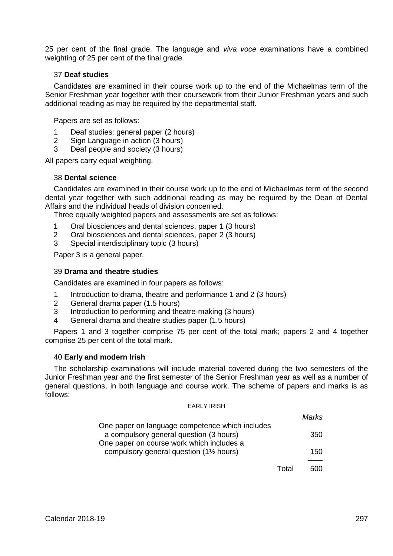25 per cent of the final grade. The language and *viva voce* examinations have a combined weighting of 25 per cent of the final grade.

# 37 **Deaf studies**

Candidates are examined in their course work up to the end of the Michaelmas term of the Senior Freshman year together with their coursework from their Junior Freshman years and such additional reading as may be required by the departmental staff.

Papers are set as follows:

- 1 Deaf studies: general paper (2 hours)
- 2 Sign Language in action (3 hours)
- 3 Deaf people and society (3 hours)

All papers carry equal weighting.

## 38 **Dental science**

Candidates are examined in their course work up to the end of Michaelmas term of the second dental year together with such additional reading as may be required by the Dean of Dental Affairs and the individual heads of division concerned.

Three equally weighted papers and assessments are set as follows:

- 1 Oral biosciences and dental sciences, paper 1 (3 hours)
- 2 Oral biosciences and dental sciences, paper 2 (3 hours)
- 3 Special interdisciplinary topic (3 hours)

Paper 3 is a general paper.

## 39 **Drama and theatre studies**

Candidates are examined in four papers as follows:

- 1 Introduction to drama, theatre and performance 1 and 2 (3 hours)
- 2 General drama paper (1.5 hours)
- 3 Introduction to performing and theatre-making (3 hours)
- 4 General drama and theatre studies paper (1.5 hours)

Papers 1 and 3 together comprise 75 per cent of the total mark; papers 2 and 4 together comprise 25 per cent of the total mark.

## 40 **Early and modern Irish**

The scholarship examinations will include material covered during the two semesters of the Junior Freshman year and the first semester of the Senior Freshman year as well as a number of general questions, in both language and course work. The scheme of papers and marks is as follows:

#### EARLY IRISH

|                                                      | Marks. |
|------------------------------------------------------|--------|
| One paper on language competence which includes      |        |
| a compulsory general question (3 hours)              | 350    |
| One paper on course work which includes a            |        |
| compulsory general question (1 <sup>1/2</sup> hours) | 150    |
|                                                      |        |

Total 500

*Marks*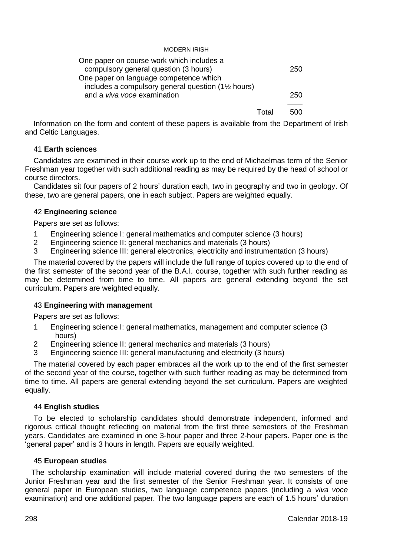## MODERN IRISH

| One paper on course work which includes a                       |       |     |
|-----------------------------------------------------------------|-------|-----|
| compulsory general question (3 hours)                           |       | 250 |
| One paper on language competence which                          |       |     |
| includes a compulsory general question (1 <sup>1/2</sup> hours) |       |     |
| and a <i>viva voce</i> examination                              |       | 250 |
|                                                                 |       |     |
|                                                                 | Total | 500 |

Information on the form and content of these papers is available from the Department of Irish and Celtic Languages.

# 41 **Earth sciences**

Candidates are examined in their course work up to the end of Michaelmas term of the Senior Freshman year together with such additional reading as may be required by the head of school or course directors.

Candidates sit four papers of 2 hours' duration each, two in geography and two in geology. Of these, two are general papers, one in each subject. Papers are weighted equally.

# 42 **Engineering science**

Papers are set as follows:

- 1 Engineering science I: general mathematics and computer science (3 hours)<br>2 Engineering science II: general mechanics and materials (3 hours)
- 2 Engineering science II: general mechanics and materials (3 hours)<br>3 Engineering science III: general electronics electricity and instrume
- 3 Engineering science III: general electronics, electricity and instrumentation (3 hours)

The material covered by the papers will include the full range of topics covered up to the end of the first semester of the second year of the B.A.I. course, together with such further reading as may be determined from time to time. All papers are general extending beyond the set curriculum. Papers are weighted equally.

# 43 **Engineering with management**

Papers are set as follows:

- 1 Engineering science I: general mathematics, management and computer science (3 hours)
- 2 Engineering science II: general mechanics and materials (3 hours)
- 3 Engineering science III: general manufacturing and electricity (3 hours)

The material covered by each paper embraces all the work up to the end of the first semester of the second year of the course, together with such further reading as may be determined from time to time. All papers are general extending beyond the set curriculum. Papers are weighted equally.

# 44 **English studies**

To be elected to scholarship candidates should demonstrate independent, informed and rigorous critical thought reflecting on material from the first three semesters of the Freshman years. Candidates are examined in one 3-hour paper and three 2-hour papers. Paper one is the 'general paper' and is 3 hours in length. Papers are equally weighted.

# 45 **European studies**

The scholarship examination will include material covered during the two semesters of the Junior Freshman year and the first semester of the Senior Freshman year. It consists of one general paper in European studies, two language competence papers (including a *viva voce* examination) and one additional paper. The two language papers are each of 1.5 hours' duration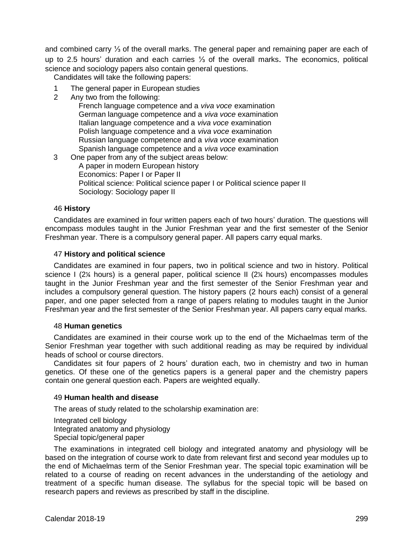and combined carry ⅓ of the overall marks. The general paper and remaining paper are each of up to 2.5 hours' duration and each carries ⅓ of the overall marks. The economics, political science and sociology papers also contain general questions.

Candidates will take the following papers:

- 1 The general paper in European studies<br>2 Any two from the following:
- 2 Any two from the following:

French language competence and a *viva voce* examination German language competence and a *viva voce* examination Italian language competence and a *viva voce* examination Polish language competence and a *viva voce* examination Russian language competence and a *viva voce* examination Spanish language competence and a *viva voce* examination

3 One paper from any of the subject areas below: A paper in modern European history Economics: Paper I or Paper II Political science: Political science paper I or Political science paper II Sociology: Sociology paper II

# 46 **History**

Candidates are examined in four written papers each of two hours' duration. The questions will encompass modules taught in the Junior Freshman year and the first semester of the Senior Freshman year. There is a compulsory general paper. All papers carry equal marks.

# 47 **History and political science**

Candidates are examined in four papers, two in political science and two in history. Political science I (2¼ hours) is a general paper, political science II (2¼ hours) encompasses modules taught in the Junior Freshman year and the first semester of the Senior Freshman year and includes a compulsory general question. The history papers (2 hours each) consist of a general paper, and one paper selected from a range of papers relating to modules taught in the Junior Freshman year and the first semester of the Senior Freshman year. All papers carry equal marks.

## 48 **Human genetics**

Candidates are examined in their course work up to the end of the Michaelmas term of the Senior Freshman year together with such additional reading as may be required by individual heads of school or course directors.

Candidates sit four papers of 2 hours' duration each, two in chemistry and two in human genetics. Of these one of the genetics papers is a general paper and the chemistry papers contain one general question each. Papers are weighted equally.

# 49 **Human health and disease**

The areas of study related to the scholarship examination are:

Integrated cell biology Integrated anatomy and physiology Special topic/general paper

The examinations in integrated cell biology and integrated anatomy and physiology will be based on the integration of course work to date from relevant first and second year modules up to the end of Michaelmas term of the Senior Freshman year. The special topic examination will be related to a course of reading on recent advances in the understanding of the aetiology and treatment of a specific human disease. The syllabus for the special topic will be based on research papers and reviews as prescribed by staff in the discipline.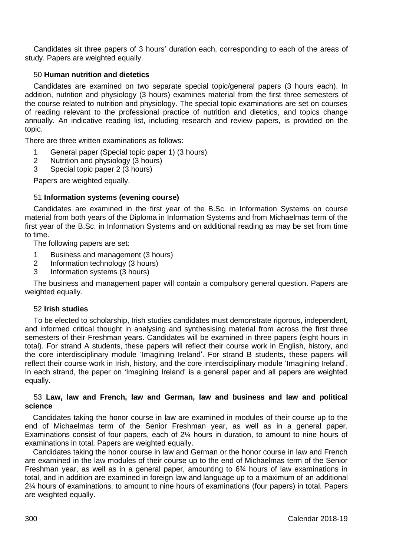Candidates sit three papers of 3 hours' duration each, corresponding to each of the areas of study. Papers are weighted equally.

# 50 **Human nutrition and dietetics**

Candidates are examined on two separate special topic/general papers (3 hours each). In addition, nutrition and physiology (3 hours) examines material from the first three semesters of the course related to nutrition and physiology. The special topic examinations are set on courses of reading relevant to the professional practice of nutrition and dietetics, and topics change annually. An indicative reading list, including research and review papers, is provided on the topic.

There are three written examinations as follows:

- 1 General paper (Special topic paper 1) (3 hours)<br>2 Nutrition and physiology (3 hours)
- 2 Nutrition and physiology (3 hours)<br>3 Special tonic paper 2 (3 hours)
- Special topic paper 2 (3 hours)

Papers are weighted equally.

# 51 **Information systems (evening course)**

Candidates are examined in the first year of the B.Sc. in Information Systems on course material from both years of the Diploma in Information Systems and from Michaelmas term of the first year of the B.Sc. in Information Systems and on additional reading as may be set from time to time.

The following papers are set:

- 1 Business and management (3 hours)<br>2 Information technology (3 hours)
- 2 Information technology (3 hours)
- 3 Information systems (3 hours)

The business and management paper will contain a compulsory general question. Papers are weighted equally.

## 52 **Irish studies**

To be elected to scholarship, Irish studies candidates must demonstrate rigorous, independent, and informed critical thought in analysing and synthesising material from across the first three semesters of their Freshman years. Candidates will be examined in three papers (eight hours in total). For strand A students, these papers will reflect their course work in English, history, and the core interdisciplinary module 'Imagining Ireland'. For strand B students, these papers will reflect their course work in Irish, history, and the core interdisciplinary module 'Imagining Ireland'. In each strand, the paper on 'Imagining Ireland' is a general paper and all papers are weighted equally.

## 53 **Law, law and French, law and German, law and business and law and political science**

Candidates taking the honor course in law are examined in modules of their course up to the end of Michaelmas term of the Senior Freshman year, as well as in a general paper. Examinations consist of four papers, each of 2¼ hours in duration, to amount to nine hours of examinations in total. Papers are weighted equally.

Candidates taking the honor course in law and German or the honor course in law and French are examined in the law modules of their course up to the end of Michaelmas term of the Senior Freshman year, as well as in a general paper, amounting to 6¾ hours of law examinations in total, and in addition are examined in foreign law and language up to a maximum of an additional 2¼ hours of examinations, to amount to nine hours of examinations (four papers) in total. Papers are weighted equally.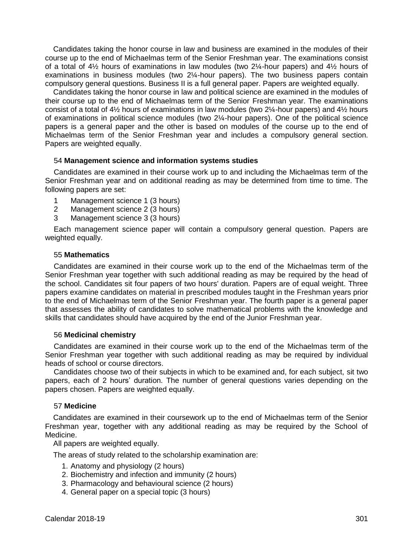Candidates taking the honor course in law and business are examined in the modules of their course up to the end of Michaelmas term of the Senior Freshman year. The examinations consist of a total of 4½ hours of examinations in law modules (two 2¼-hour papers) and 4½ hours of examinations in business modules (two 2¼-hour papers). The two business papers contain compulsory general questions. Business II is a full general paper. Papers are weighted equally.

Candidates taking the honor course in law and political science are examined in the modules of their course up to the end of Michaelmas term of the Senior Freshman year. The examinations consist of a total of 4½ hours of examinations in law modules (two 2¼-hour papers) and 4½ hours of examinations in political science modules (two 2¼-hour papers). One of the political science papers is a general paper and the other is based on modules of the course up to the end of Michaelmas term of the Senior Freshman year and includes a compulsory general section. Papers are weighted equally.

# 54 **Management science and information systems studies**

Candidates are examined in their course work up to and including the Michaelmas term of the Senior Freshman year and on additional reading as may be determined from time to time. The following papers are set:

- 1 Management science 1 (3 hours)
- 2 Management science 2 (3 hours)
- 3 Management science 3 (3 hours)

Each management science paper will contain a compulsory general question. Papers are weighted equally.

## 55 **Mathematics**

Candidates are examined in their course work up to the end of the Michaelmas term of the Senior Freshman year together with such additional reading as may be required by the head of the school. Candidates sit four papers of two hours' duration. Papers are of equal weight. Three papers examine candidates on material in prescribed modules taught in the Freshman years prior to the end of Michaelmas term of the Senior Freshman year. The fourth paper is a general paper that assesses the ability of candidates to solve mathematical problems with the knowledge and skills that candidates should have acquired by the end of the Junior Freshman year.

## 56 **Medicinal chemistry**

Candidates are examined in their course work up to the end of the Michaelmas term of the Senior Freshman year together with such additional reading as may be required by individual heads of school or course directors.

Candidates choose two of their subjects in which to be examined and, for each subject, sit two papers, each of 2 hours' duration. The number of general questions varies depending on the papers chosen. Papers are weighted equally.

## 57 **Medicine**

Candidates are examined in their coursework up to the end of Michaelmas term of the Senior Freshman year, together with any additional reading as may be required by the School of Medicine.

All papers are weighted equally.

The areas of study related to the scholarship examination are:

- 1. Anatomy and physiology (2 hours)
- 2. Biochemistry and infection and immunity (2 hours)
- 3. Pharmacology and behavioural science (2 hours)
- 4. General paper on a special topic (3 hours)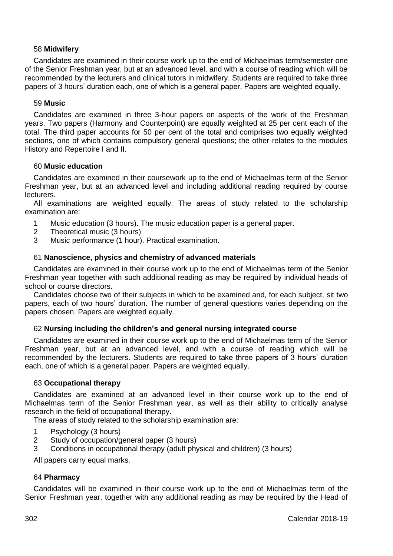# 58 **Midwifery**

Candidates are examined in their course work up to the end of Michaelmas term/semester one of the Senior Freshman year, but at an advanced level, and with a course of reading which will be recommended by the lecturers and clinical tutors in midwifery. Students are required to take three papers of 3 hours' duration each, one of which is a general paper. Papers are weighted equally.

# 59 **Music**

Candidates are examined in three 3-hour papers on aspects of the work of the Freshman years. Two papers (Harmony and Counterpoint) are equally weighted at 25 per cent each of the total. The third paper accounts for 50 per cent of the total and comprises two equally weighted sections, one of which contains compulsory general questions; the other relates to the modules History and Repertoire I and II.

# 60 **Music education**

Candidates are examined in their coursework up to the end of Michaelmas term of the Senior Freshman year, but at an advanced level and including additional reading required by course lecturers.

All examinations are weighted equally. The areas of study related to the scholarship examination are:

- 1 Music education (3 hours). The music education paper is a general paper.<br>2 Theoretical music (3 hours)
- 2 Theoretical music (3 hours)<br>3 Music performance (1 hour)
- Music performance (1 hour). Practical examination.

# 61 **Nanoscience, physics and chemistry of advanced materials**

Candidates are examined in their course work up to the end of Michaelmas term of the Senior Freshman year together with such additional reading as may be required by individual heads of school or course directors.

Candidates choose two of their subjects in which to be examined and, for each subject, sit two papers, each of two hours' duration. The number of general questions varies depending on the papers chosen. Papers are weighted equally.

# 62 **Nursing including the children's and general nursing integrated course**

Candidates are examined in their course work up to the end of Michaelmas term of the Senior Freshman year, but at an advanced level, and with a course of reading which will be recommended by the lecturers. Students are required to take three papers of 3 hours' duration each, one of which is a general paper. Papers are weighted equally.

# 63 **Occupational therapy**

Candidates are examined at an advanced level in their course work up to the end of Michaelmas term of the Senior Freshman year, as well as their ability to critically analyse research in the field of occupational therapy.

The areas of study related to the scholarship examination are:

- 1 Psychology (3 hours)<br>2 Study of occupation/c
- Study of occupation/general paper (3 hours)
- 3 Conditions in occupational therapy (adult physical and children) (3 hours)

All papers carry equal marks.

# 64 **Pharmacy**

Candidates will be examined in their course work up to the end of Michaelmas term of the Senior Freshman year, together with any additional reading as may be required by the Head of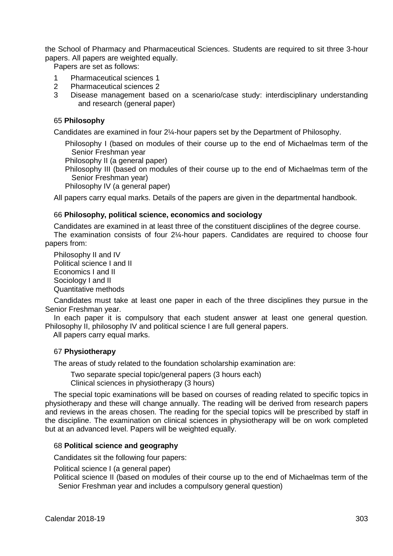the School of Pharmacy and Pharmaceutical Sciences. Students are required to sit three 3-hour papers. All papers are weighted equally.

Papers are set as follows:

- 1 Pharmaceutical sciences 1<br>2 Pharmaceutical sciences 2
- 2 Pharmaceutical sciences 2
- 3 Disease management based on a scenario/case study: interdisciplinary understanding and research (general paper)

## 65 **Philosophy**

Candidates are examined in four 2¼-hour papers set by the Department of Philosophy.

Philosophy I (based on modules of their course up to the end of Michaelmas term of the Senior Freshman year

Philosophy II (a general paper)

Philosophy III (based on modules of their course up to the end of Michaelmas term of the Senior Freshman year)

Philosophy IV (a general paper)

All papers carry equal marks. Details of the papers are given in the departmental handbook.

# 66 **Philosophy, political science, economics and sociology**

Candidates are examined in at least three of the constituent disciplines of the degree course. The examination consists of four 2¼-hour papers. Candidates are required to choose four papers from:

Philosophy II and IV Political science I and II Economics I and II Sociology Land II Quantitative methods

Candidates must take at least one paper in each of the three disciplines they pursue in the Senior Freshman year.

In each paper it is compulsory that each student answer at least one general question. Philosophy II, philosophy IV and political science I are full general papers.

All papers carry equal marks.

## 67 **Physiotherapy**

The areas of study related to the foundation scholarship examination are:

Two separate special topic/general papers (3 hours each) Clinical sciences in physiotherapy (3 hours)

The special topic examinations will be based on courses of reading related to specific topics in physiotherapy and these will change annually. The reading will be derived from research papers and reviews in the areas chosen. The reading for the special topics will be prescribed by staff in the discipline. The examination on clinical sciences in physiotherapy will be on work completed but at an advanced level. Papers will be weighted equally.

# 68 **Political science and geography**

Candidates sit the following four papers:

Political science I (a general paper)

Political science II (based on modules of their course up to the end of Michaelmas term of the Senior Freshman year and includes a compulsory general question)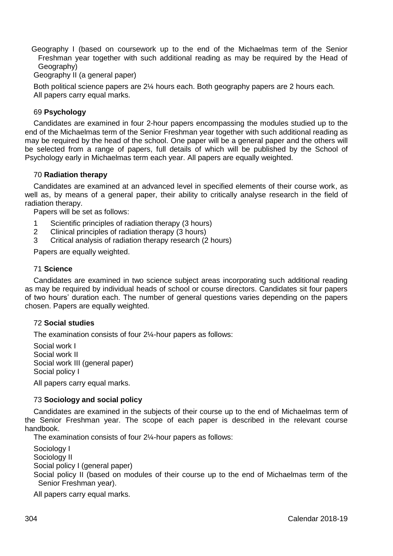Geography I (based on coursework up to the end of the Michaelmas term of the Senior Freshman year together with such additional reading as may be required by the Head of Geography)

Geography II (a general paper)

Both political science papers are 2¼ hours each. Both geography papers are 2 hours each. All papers carry equal marks.

# 69 **Psychology**

Candidates are examined in four 2-hour papers encompassing the modules studied up to the end of the Michaelmas term of the Senior Freshman year together with such additional reading as may be required by the head of the school. One paper will be a general paper and the others will be selected from a range of papers, full details of which will be published by the School of Psychology early in Michaelmas term each year. All papers are equally weighted.

## 70 **Radiation therapy**

Candidates are examined at an advanced level in specified elements of their course work, as well as, by means of a general paper, their ability to critically analyse research in the field of radiation therapy.

Papers will be set as follows:

- 1 Scientific principles of radiation therapy (3 hours)<br>2 Clinical principles of radiation therapy (3 hours)
- 2 Clinical principles of radiation therapy (3 hours)<br>3 Critical analysis of radiation therapy research (2
- Critical analysis of radiation therapy research (2 hours)

Papers are equally weighted.

## 71 **Science**

Candidates are examined in two science subject areas incorporating such additional reading as may be required by individual heads of school or course directors. Candidates sit four papers of two hours' duration each. The number of general questions varies depending on the papers chosen. Papers are equally weighted.

# 72 **Social studies**

The examination consists of four 2¼-hour papers as follows:

Social work I Social work II Social work III (general paper) Social policy I

All papers carry equal marks.

# 73 **Sociology and social policy**

Candidates are examined in the subjects of their course up to the end of Michaelmas term of the Senior Freshman year. The scope of each paper is described in the relevant course handbook.

The examination consists of four 2¼-hour papers as follows:

Sociology I Sociology II Social policy I (general paper) Social policy II (based on modules of their course up to the end of Michaelmas term of the Senior Freshman year).

All papers carry equal marks.